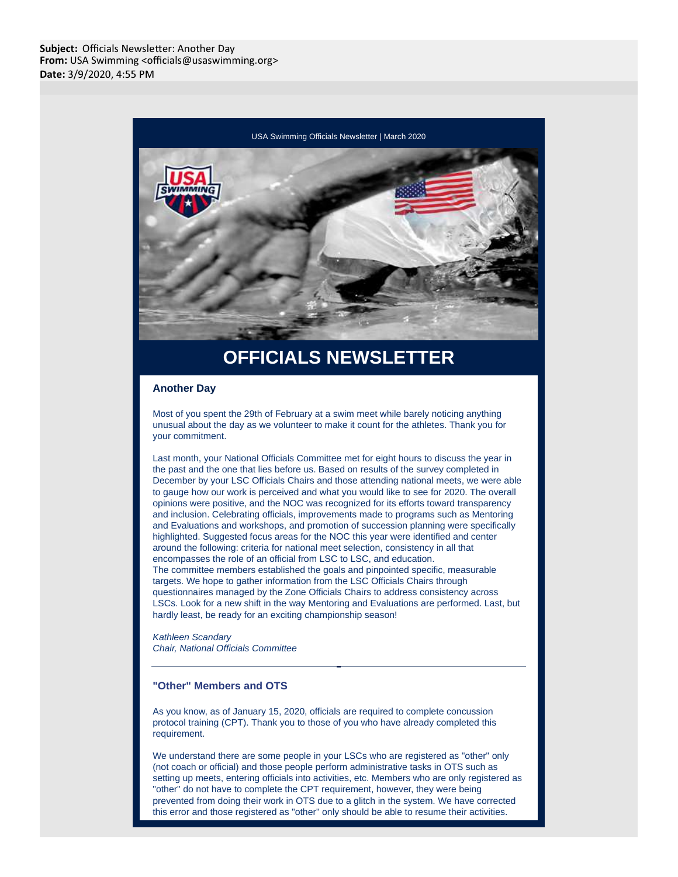

# **OFFICIALS NEWSLETTER**

#### **Another Day**

Most of you spent the 29th of February at a swim meet while barely noticing anything unusual about the day as we volunteer to make it count for the athletes. Thank you for your commitment.

Last month, your National Officials Committee met for eight hours to discuss the year in the past and the one that lies before us. Based on results of the survey completed in December by your LSC Officials Chairs and those attending national meets, we were able to gauge how our work is perceived and what you would like to see for 2020. The overall opinions were positive, and the NOC was recognized for its efforts toward transparency and inclusion. Celebrating officials, improvements made to programs such as Mentoring and Evaluations and workshops, and promotion of succession planning were specifically highlighted. Suggested focus areas for the NOC this year were identified and center around the following: criteria for national meet selection, consistency in all that encompasses the role of an official from LSC to LSC, and education. The committee members established the goals and pinpointed specific, measurable targets. We hope to gather information from the LSC Officials Chairs through questionnaires managed by the Zone Officials Chairs to address consistency across LSCs. Look for a new shift in the way Mentoring and Evaluations are performed. Last, but hardly least, be ready for an exciting championship season!

Kathleen Scandary Chair, National Officials Committee

#### **"Other" Members and OTS**

As you know, as of January 15, 2020, officials are required to complete concussion protocol training (CPT). Thank you to those of you who have already completed this requirement.

We understand there are some people in your LSCs who are registered as "other" only (not coach or official) and those people perform administrative tasks in OTS such as setting up meets, entering officials into activities, etc. Members who are only registered as "other" do not have to complete the CPT requirement, however, they were being prevented from doing their work in OTS due to a glitch in the system. We have corrected this error and those registered as "other" only should be able to resume their activities.